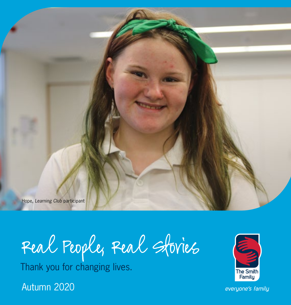Hope, *Learning Club* participant

Real People, Real Stories

Thank you for changing lives.

Autumn 2020



everyone's family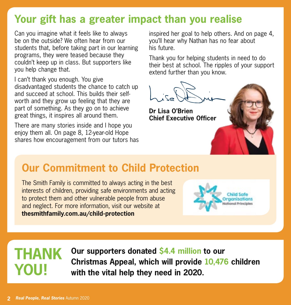## **Your gift has a greater impact than you realise**

Can you imagine what it feels like to always be on the outside? We often hear from our students that, before taking part in our learning programs, they were teased because they couldn't keep up in class. But supporters like you help change that.

I can't thank you enough. You give disadvantaged students the chance to catch up and succeed at school. This builds their selfworth and they grow up feeling that they are part of something. As they go on to achieve great things, it inspires all around them.

There are many stories inside and I hope you enjoy them all. On page 8, 12-year-old Hope shares how encouragement from our tutors has

inspired her goal to help others. And on page 4, you'll hear why Nathan has no fear about his future.

Thank you for helping students in need to do their best at school. The ripples of your support extend further than you know.



**Dr Lisa O'Brien Chief Executive Officer**

#### **Our Commitment to Child Protection**

The Smith Family is committed to always acting in the best interests of children, providing safe environments and acting to protect them and other vulnerable people from abuse and neglect. For more information, visit our website at **thesmithfamily.com.au/child-protection**



## **thank you!**

**Our supporters donated \$4.4 million to our Christmas Appeal, which will provide 10,476 children with the vital help they need in 2020.**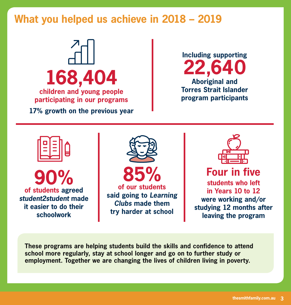#### **What you helped us achieve in 2018 – 2019**





**90% of students agreed**  *student2student* **made it easier to do their schoolwork**





#### **Four in five**

**students who left in Years 10 to 12 were working and/or studying 12 months after leaving the program**

**These programs are helping students build the skills and confidence to attend school more regularly, stay at school longer and go on to further study or employment. Together we are changing the lives of children living in poverty.**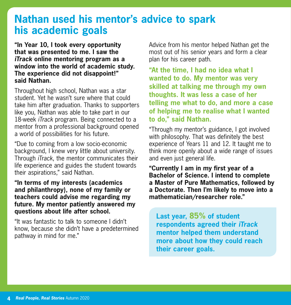#### **Nathan used his mentor's advice to spark his academic goals**

**"In Year 10, I took every opportunity that was presented to me. I saw the** *iTrack* **online mentoring program as a window into the world of academic study. The experience did not disappoint!" said Nathan.**

Throughout high school, Nathan was a star student. Yet he wasn't sure where that could take him after graduation. Thanks to supporters like you, Nathan was able to take part in our 18-week *iTrack* program. Being connected to a mentor from a professional background opened a world of possibilities for his future.

"Due to coming from a low socio-economic background, I knew very little about university. Through *iTrack*, the mentor communicates their life experience and guides the student towards their aspirations," said Nathan.

**"In terms of my interests (academics and philanthropy), none of my family or teachers could advise me regarding my future. My mentor patiently answered my questions about life after school.**

"It was fantastic to talk to someone I didn't know, because she didn't have a predetermined pathway in mind for me."

Advice from his mentor helped Nathan get the most out of his senior years and form a clear plan for his career path.

**"At the time, I had no idea what I wanted to do. My mentor was very skilled at talking me through my own thoughts. It was less a case of her telling me what to do, and more a case of helping me to realise what I wanted to do," said Nathan.**

"Through my mentor's guidance, I got involved with philosophy. That was definitely the best experience of Years 11 and 12. It taught me to think more openly about a wide range of issues and even just general life.

**"Currently I am in my first year of a Bachelor of Science. I intend to complete a Master of Pure Mathematics, followed by a Doctorate. Then I'm likely to move into a mathematician/researcher role."**

**Last year, 85% of student respondents agreed their** *iTrack* **mentor helped them understand more about how they could reach their career goals.**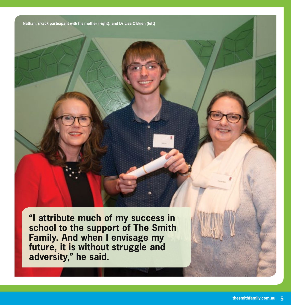**Nathan,** *iTrack* **participant with his mother (right), and Dr Lisa O'Brien (left)**

**"I attribute much of my success in school to the support of The Smith Family. And when I envisage my future, it is without struggle and adversity," he said.**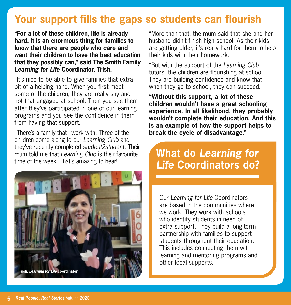## **Your support fills the gaps so students can flourish**

**"For a lot of these children, life is already hard. It is an enormous thing for families to know that there are people who care and want their children to have the best education that they possibly can," said The Smith Family**  *Learning for Life* **Coordinator, Trish.**

"It's nice to be able to give families that extra bit of a helping hand. When you first meet some of the children, they are really shy and not that engaged at school. Then you see them after they've participated in one of our learning programs and you see the confidence in them from having that support.

"There's a family that I work with. Three of the children come along to our *Learning Club* and they've recently completed *student2student*. Their mum told me that *Learning Club* is their favourite time of the week. That's amazing to hear!



"More than that, the mum said that she and her husband didn't finish high school. As their kids are getting older, it's really hard for them to help their kids with their homework.

"But with the support of the *Learning Club* tutors, the children are flourishing at school. They are building confidence and know that when they go to school, they can succeed.

**"Without this support, a lot of these children wouldn't have a great schooling experience. In all likelihood, they probably wouldn't complete their education. And this is an example of how the support helps to break the cycle of disadvantage."**

#### **What do** *Learning for Life* **Coordinators do?**

Our *Learning for Life* Coordinators are based in the communities where we work. They work with schools who identify students in need of extra support. They build a long-term partnership with families to support students throughout their education. This includes connecting them with learning and mentoring programs and other local supports.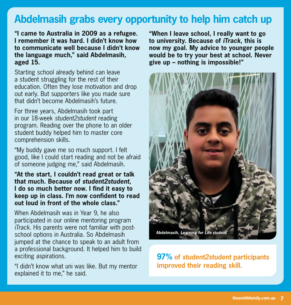#### **Abdelmasih grabs every opportunity to help him catch up**

**"I came to Australia in 2009 as a refugee. I remember it was hard. I didn't know how to communicate well because I didn't know the language much," said Abdelmasih, aged 15.**

Starting school already behind can leave a student struggling for the rest of their education. Often they lose motivation and drop out early. But supporters like you made sure that didn't become Abdelmasih's future.

For three years, Abdelmasih took part in our 18-week *student2student* reading program. Reading over the phone to an older student buddy helped him to master core comprehension skills.

"My buddy gave me so much support. I felt good, like I could start reading and not be afraid of someone judging me," said Abdelmasih.

**"At the start, I couldn't read great or talk that much. Because of** *student2student***, I do so much better now. I find it easy to keep up in class. I'm now confident to read out loud in front of the whole class."**

When Abdelmasih was in Year 9, he also participated in our online mentoring program *iTrack*. His parents were not familiar with postschool options in Australia. So Abdelmasih jumped at the chance to speak to an adult from a professional background. It helped him to build exciting aspirations.

"I didn't know what uni was like. But my mentor explained it to me," he said.

**"When I leave school, I really want to go to university. Because of** *iTrack***, this is now my goal. My advice to younger people would be to try your best at school. Never give up – nothing is impossible!"**



**97% of** *student2student* **participants improved their reading skill.**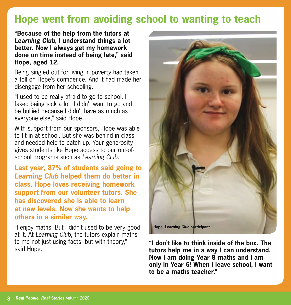## **Hope went from avoiding school to wanting to teach**

**"Because of the help from the tutors at**  *Learning Club***, I understand things a lot better. Now I always get my homework done on time instead of being late," said Hope, aged 12.**

Being singled out for living in poverty had taken a toll on Hope's confidence. And it had made her disengage from her schooling.

"I used to be really afraid to go to school. I faked being sick a lot. I didn't want to go and be bullied because I didn't have as much as everyone else," said Hope.

With support from our sponsors, Hope was able to fit in at school. But she was behind in class and needed help to catch up. Your generosity gives students like Hope access to our out-ofschool programs such as *Learning Club.*

**Last year, 87% of students said going to**  *Learning Club* **helped them do better in class. Hope loves receiving homework support from our volunteer tutors. She has discovered she is able to learn at new levels. Now she wants to help others in a similar way.**

"I enjoy maths. But I didn't used to be very good at it. At *Learning Club*, the tutors explain maths to me not just using facts, but with theory," said Hope.



**"I don't like to think inside of the box. The tutors help me in a way I can understand. Now I am doing Year 8 maths and I am only in Year 6! When I leave school, I want to be a maths teacher."**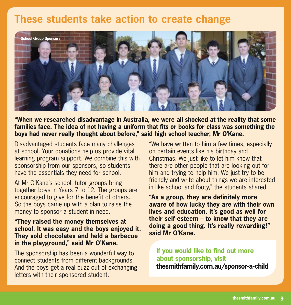#### **These students take action to create change**



**"When we researched disadvantage in Australia, we were all shocked at the reality that some families face. The idea of not having a uniform that fits or books for class was something the boys had never really thought about before," said high school teacher, Mr O'Kane.**

Disadvantaged students face many challenges at school. Your donations help us provide vital learning program support. We combine this with sponsorship from our sponsors, so students have the essentials they need for school.

At Mr O'Kane's school, tutor groups bring together boys in Years 7 to 12. The groups are encouraged to give for the benefit of others. So the boys came up with a plan to raise the money to sponsor a student in need.

#### **"They raised the money themselves at school. It was easy and the boys enjoyed it. They sold chocolates and held a barbecue in the playground," said Mr O'Kane.**

The sponsorship has been a wonderful way to connect students from different backgrounds. And the boys get a real buzz out of exchanging letters with their sponsored student.

"We have written to him a few times, especially on certain events like his birthday and Christmas. We just like to let him know that there are other people that are looking out for him and trying to help him. We just try to be friendly and write about things we are interested in like school and footy," the students shared.

**"As a group, they are definitely more aware of how lucky they are with their own lives and education. It's good as well for their self-esteem – to know that they are doing a good thing. It's really rewarding!" said Mr O'Kane.**

**If you would like to find out more about sponsorship, visit thesmithfamily.com.au/sponsor-a-child**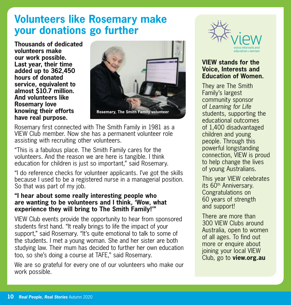#### **Volunteers like Rosemary make your donations go further**

**Thousands of dedicated volunteers make our work possible. Last year, their time added up to 362,450 hours of donated service, equivalent to almost \$10.7 million. And volunteers like Rosemary love knowing their efforts have real purpose.**



Rosemary first connected with The Smith Family in 1981 as a VIEW Club member. Now she has a permanent volunteer role assisting with recruiting other volunteers.

"This is a fabulous place. The Smith Family cares for the volunteers. And the reason we are here is tangible. I think education for children is just so important," said Rosemary.

"I do reference checks for volunteer applicants. I've got the skills because I used to be a registered nurse in a managerial position. So that was part of my job.

#### **"I hear about some really interesting people who are wanting to be volunteers and I think, 'Wow, what experience they will bring to The Smith Family!'"**

VIEW Club events provide the opportunity to hear from sponsored students first hand. "It really brings to life the impact of your support," said Rosemary. "It's quite emotional to talk to some of the students. I met a young woman. She and her sister are both studying law. Their mum has decided to further her own education too, so she's doing a course at TAFE," said Rosemary.

We are so grateful for every one of our volunteers who make our work possible.



#### **VIEW stands for the Voice, Interests and Education of Women.**

They are The Smith Family's largest community sponsor of *Learning for Life* students, supporting the educational outcomes of 1,400 disadvantaged children and young people. Through this powerful longstanding connection, VIEW is proud to help change the lives of young Australians.

This year VIEW celebrates its 60<sup>th</sup> Anniversary. Congratulations on 60 years of strength and support!

There are more than 300 VIEW Clubs around Australia, open to women of all ages. To find out more or enquire about joining your local VIEW Club, go to **view.org.au**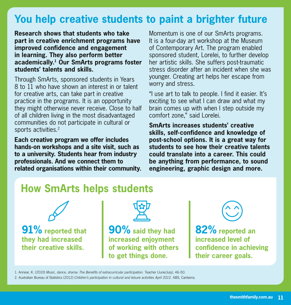## **You help creative students to paint a brighter future**

**Research shows that students who take part in creative enrichment programs have improved confidence and engagement in learning. They also perform better academically.1 Our SmArts programs foster students' talents and skills.**

Through SmArts, sponsored students in Years 8 to 11 who have shown an interest in or talent for creative arts, can take part in creative practice in the programs. It is an opportunity they might otherwise never receive. Close to half of all children living in the most disadvantaged communities do not participate in cultural or sports activities.<sup>2</sup>

**Each creative program we offer includes hands-on workshops and a site visit, such as to a university. Students hear from industry professionals. And we connect them to related organisations within their community.**

Momentum is one of our SmArts programs. It is a four-day art workshop at the Museum of Contemporary Art. The program enabled sponsored student, Lorelei, to further develop her artistic skills. She suffers post-traumatic stress disorder after an incident when she was younger. Creating art helps her escape from worry and stress.

"I use art to talk to people. I find it easier. It's exciting to see what I can draw and what my brain comes up with when I step outside my comfort zone," said Lorelei.

**SmArts increases students' creative skills, self-confidence and knowledge of post-school options. It is a great way for students to see how their creative talents could translate into a career. This could be anything from performance, to sound engineering, graphic design and more.**

#### **How SmArts helps students**



**91% reported that they had increased their creative skills.** 



**90% said they had increased enjoyment of working with others to get things done.**



**82% reported an increased level of confidence in achieving their career goals.**

1. Annear, K. (2010) *Music, dance, drama: The Benefits of extracurricular participation.* Teacher (June/July), 46-50.

2. Australian Bureau of Statistics (2012) *Children's participation in cultural and leisure activities April 2012.* ABS, Canberra.